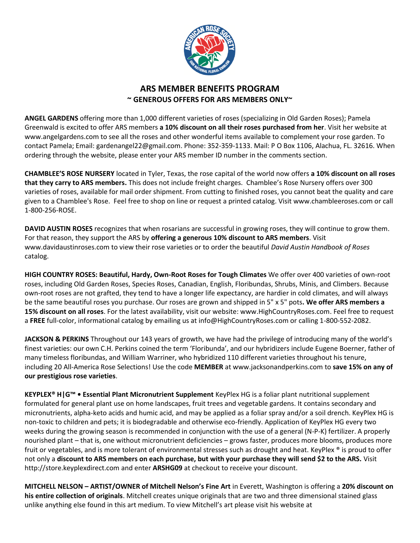

## **ARS MEMBER BENEFITS PROGRAM ~ GENEROUS OFFERS FOR ARS MEMBERS ONLY~**

**ANGEL GARDENS** offering more than 1,000 different varieties of roses (specializing in Old Garden Roses); Pamela Greenwald is excited to offer ARS members **a 10% discount on all their roses purchased from her**. Visit her website at [www.angelgardens.com](http://www.angelgardens.com/) to see all the roses and other wonderful items available to complement your rose garden. To contact Pamela; Email: [gardenangel22@gmail.com.](mailto:gardenangel22@gmail.com) Phone: 352-359-1133. Mail: P O Box 1106, Alachua, FL. 32616. When ordering through the website, please enter your ARS member ID number in the comments section.

**CHAMBLEE'S ROSE NURSERY** located in Tyler, Texas, the rose capital of the world now offers **a 10% discount on all roses that they carry to ARS members.** This does not include freight charges. Chamblee's Rose Nursery offers over 300 varieties of roses, available for mail order shipment. From cutting to finished roses, you cannot beat the quality and care given to a Chamblee's Rose. Feel free to [shop on line](http://www.chambleeroses.com/xcart/home.php) or request a [printed catalog.](http://www.chambleeroses.com/ContactUs.html) Visit www.chambleeroses.com or call 1-800-256-ROSE.

**DAVID AUSTIN ROSES** recognizes that when rosarians are successful in growing roses, they will continue to grow them. For that reason, they support the ARS by **offering a generous 10% discount to ARS members**. Visit www.davidaustinroses.com to view their rose varieties or to order the beautiful *David Austin Handbook of Roses*  catalog.

**HIGH COUNTRY ROSES: Beautiful, Hardy, Own-Root Roses for Tough Climates** We offer over 400 varieties of own-root roses, including Old Garden Roses, Species Roses, Canadian, English, Floribundas, Shrubs, Minis, and Climbers. Because own-root roses are not grafted, they tend to have a longer life expectancy, are hardier in cold climates, and will always be the same beautiful roses you purchase. Our roses are grown and shipped in 5" x 5" pots**. We offer ARS members a 15% discount on all roses**. For the latest availability, visit our website: www.HighCountryRoses.com. Feel free to request a **FREE** full-color, informational catalog by emailing us at info@HighCountryRoses.com or calling 1-800-552-2082.

**JACKSON & PERKINS** Throughout our 143 years of growth, we have had the privilege of introducing many of the world's finest varieties: our own C.H. Perkins coined the term 'Floribunda', and our hybridizers include Eugene Boerner, father of many timeless floribundas, and William Warriner, who hybridized 110 different varieties throughout his tenure, including 20 All-America Rose Selections! Use the code **MEMBER** at www.jacksonandperkins.com to **save 15% on any of our prestigious rose varieties**.

**KEYPLEX® H|G™ • Essential Plant Micronutrient Supplement** KeyPlex HG is a foliar plant nutritional supplement formulated for general plant use on home landscapes, fruit trees and vegetable gardens. It contains secondary and micronutrients, alpha-keto acids and humic acid, and may be applied as a foliar spray and/or a soil drench. KeyPlex HG is non-toxic to children and pets; it is biodegradable and otherwise eco-friendly. Application of KeyPlex HG every two weeks during the growing season is recommended in conjunction with the use of a general (N-P-K) fertilizer. A properly nourished plant – that is, one without micronutrient deficiencies – grows faster, produces more blooms, produces more fruit or vegetables, and is more tolerant of environmental stresses such as drought and heat. KeyPlex ® is proud to offer not only a **discount to ARS members on each purchase, but with your purchase they will send \$2 to the ARS.** Visit http://store.keyplexdirect.com and enter **ARSHG09** at checkout to receive your discount.

**MITCHELL NELSON – ARTIST/OWNER of Mitchell Nelson's Fine Art** in Everett, Washington is offering a **20% discount on his entire collection of originals**. Mitchell creates unique originals that are two and three dimensional stained glass unlike anything else found in this art medium. To view Mitchell's art please visit his website at